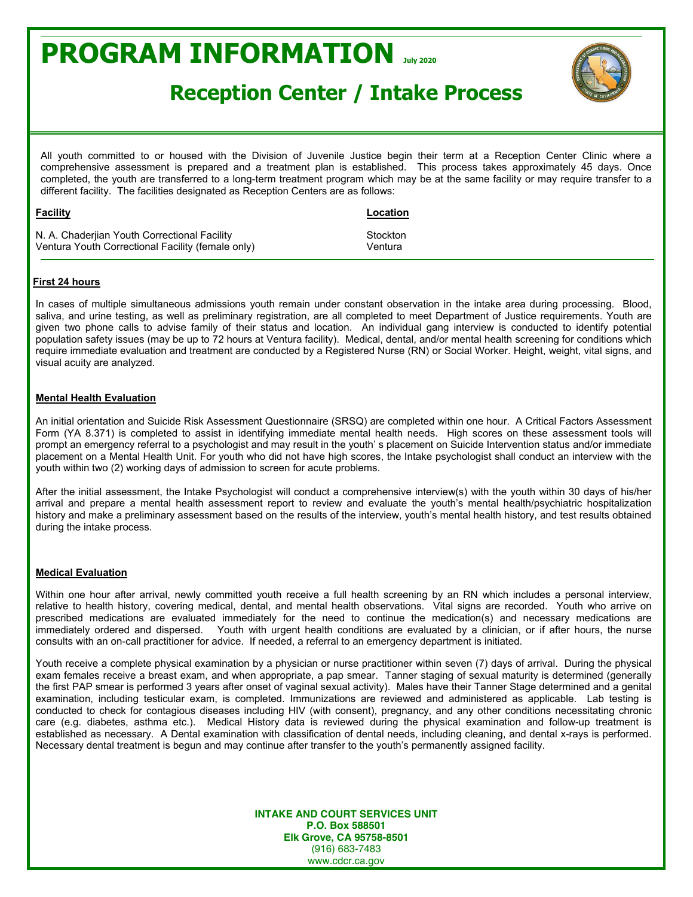## **PROGRAM INFORMATION July <sup>2020</sup>**



### **Reception Center / Intake Process**

All youth committed to or housed with the Division of Juvenile Justice begin their term at a Reception Center Clinic where a comprehensive assessment is prepared and a treatment plan is established. This process takes approximately 45 days. Once completed, the youth are transferred to a long-term treatment program which may be at the same facility or may require transfer to a different facility. The facilities designated as Reception Centers are as follows:

| <u>Facility</u>                                   | Location            |
|---------------------------------------------------|---------------------|
| N. A. Chaderjian Youth Correctional Facility      | Stockton<br>Ventura |
| Ventura Youth Correctional Facility (female only) |                     |

#### **First 24 hours**

In cases of multiple simultaneous admissions youth remain under constant observation in the intake area during processing. Blood, saliva, and urine testing, as well as preliminary registration, are all completed to meet Department of Justice requirements. Youth are given two phone calls to advise family of their status and location. An individual gang interview is conducted to identify potential population safety issues (may be up to 72 hours at Ventura facility). Medical, dental, and/or mental health screening for conditions which require immediate evaluation and treatment are conducted by a Registered Nurse (RN) or Social Worker. Height, weight, vital signs, and visual acuity are analyzed.

#### **Mental Health Evaluation**

An initial orientation and Suicide Risk Assessment Questionnaire (SRSQ) are completed within one hour. A Critical Factors Assessment Form (YA 8.371) is completed to assist in identifying immediate mental health needs. High scores on these assessment tools will prompt an emergency referral to a psychologist and may result in the youth' s placement on Suicide Intervention status and/or immediate placement on a Mental Health Unit. For youth who did not have high scores, the Intake psychologist shall conduct an interview with the youth within two (2) working days of admission to screen for acute problems.

After the initial assessment, the Intake Psychologist will conduct a comprehensive interview(s) with the youth within 30 days of his/her arrival and prepare a mental health assessment report to review and evaluate the youth's mental health/psychiatric hospitalization history and make a preliminary assessment based on the results of the interview, youth's mental health history, and test results obtained during the intake process.

#### **Medical Evaluation**

Within one hour after arrival, newly committed youth receive a full health screening by an RN which includes a personal interview, relative to health history, covering medical, dental, and mental health observations. Vital signs are recorded. Youth who arrive on prescribed medications are evaluated immediately for the need to continue the medication(s) and necessary medications are immediately ordered and dispersed. Youth with urgent health conditions are evaluated by a clinician, or if after hours, the nurse consults with an on-call practitioner for advice. If needed, a referral to an emergency department is initiated.

Youth receive a complete physical examination by a physician or nurse practitioner within seven (7) days of arrival. During the physical exam females receive a breast exam, and when appropriate, a pap smear. Tanner staging of sexual maturity is determined (generally the first PAP smear is performed 3 years after onset of vaginal sexual activity). Males have their Tanner Stage determined and a genital examination, including testicular exam, is completed. Immunizations are reviewed and administered as applicable. Lab testing is conducted to check for contagious diseases including HIV (with consent), pregnancy, and any other conditions necessitating chronic care (e.g. diabetes, asthma etc.). Medical History data is reviewed during the physical examination and follow-up treatment is established as necessary. A Dental examination with classification of dental needs, including cleaning, and dental x-rays is performed. Necessary dental treatment is begun and may continue after transfer to the youth's permanently assigned facility.

> **INTAKE AND COURT SERVICES UNIT P.O. Box 588501 Elk Grove, CA 95758-8501** (916) 683-7483 www.cdcr.ca.gov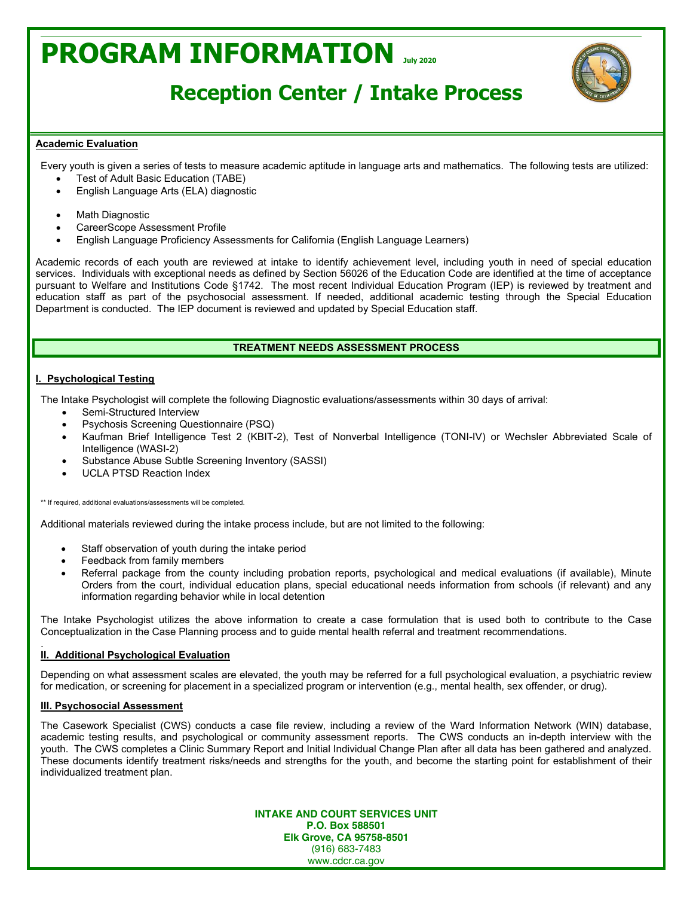# **PROGRAM INFORMATION July <sup>2020</sup>**



## **Reception Center / Intake Process**

#### **Academic Evaluation**

Every youth is given a series of tests to measure academic aptitude in language arts and mathematics. The following tests are utilized:

- Test of Adult Basic Education (TABE)
- English Language Arts (ELA) diagnostic
- **Math Diagnostic**
- CareerScope Assessment Profile
- English Language Proficiency Assessments for California (English Language Learners)

Academic records of each youth are reviewed at intake to identify achievement level, including youth in need of special education services. Individuals with exceptional needs as defined by Section 56026 of the Education Code are identified at the time of acceptance pursuant to Welfare and Institutions Code §1742. The most recent Individual Education Program (IEP) is reviewed by treatment and education staff as part of the psychosocial assessment. If needed, additional academic testing through the Special Education Department is conducted. The IEP document is reviewed and updated by Special Education staff.

### **TREATMENT NEEDS ASSESSMENT PROCESS**

#### **I. Psychological Testing**

The Intake Psychologist will complete the following Diagnostic evaluations/assessments within 30 days of arrival:

- Semi-Structured Interview
- Psychosis Screening Questionnaire (PSQ)
- x Kaufman Brief Intelligence Test 2 (KBIT-2), Test of Nonverbal Intelligence (TONI-IV) or Wechsler Abbreviated Scale of Intelligence (WASI-2)
- Substance Abuse Subtle Screening Inventory (SASSI)
- x UCLA PTSD Reaction Index

\*\* If required, additional evaluations/assessments will be completed.

Additional materials reviewed during the intake process include, but are not limited to the following:

- Staff observation of youth during the intake period
- Feedback from family members
- Referral package from the county including probation reports, psychological and medical evaluations (if available), Minute Orders from the court, individual education plans, special educational needs information from schools (if relevant) and any information regarding behavior while in local detention

The Intake Psychologist utilizes the above information to create a case formulation that is used both to contribute to the Case Conceptualization in the Case Planning process and to guide mental health referral and treatment recommendations.

#### . **II. Additional Psychological Evaluation**

Depending on what assessment scales are elevated, the youth may be referred for a full psychological evaluation, a psychiatric review for medication, or screening for placement in a specialized program or intervention (e.g., mental health, sex offender, or drug).

#### **III. Psychosocial Assessment**

The Casework Specialist (CWS) conducts a case file review, including a review of the Ward Information Network (WIN) database, academic testing results, and psychological or community assessment reports. The CWS conducts an in-depth interview with the youth. The CWS completes a Clinic Summary Report and Initial Individual Change Plan after all data has been gathered and analyzed. These documents identify treatment risks/needs and strengths for the youth, and become the starting point for establishment of their individualized treatment plan.

> **INTAKE AND COURT SERVICES UNIT P.O. Box 588501 Elk Grove, CA 95758-8501** (916) 683-7483 www.cdcr.ca.gov